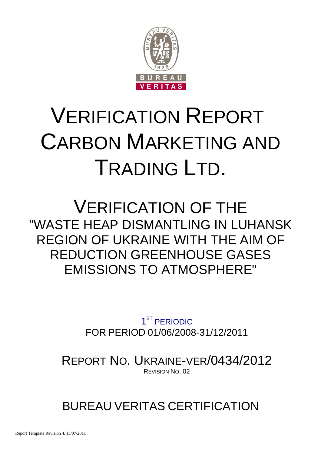

# VERIFICATION REPORT CARBON MARKETING AND TRADING LTD.

## VERIFICATION OF THE "WASTE HEAP DISMANTLING IN LUHANSK REGION OF UKRAINE WITH THE AIM OF REDUCTION GREENHOUSE GASES EMISSIONS TO ATMOSPHERE"

1<sup>ST</sup> PERIODIC FOR PERIOD 01/06/2008-31/12/2011

REPORT NO. UKRAINE-VER/0434/2012 REVISION NO. 02

### BUREAU VERITAS CERTIFICATION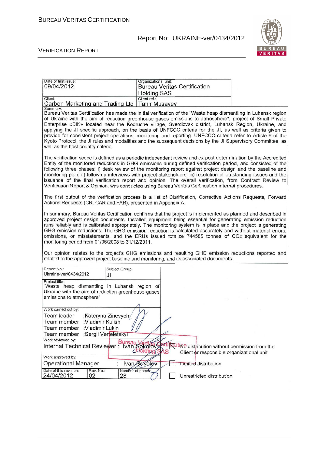

#### VERIFICATION REPORT

| Date of first issue:<br>09/04/2012                                                                                                               |                                             | Organizational unit:<br><b>Holding SAS</b> |   | <b>Bureau Veritas Certification</b>       |                                                                                                                                                                                                                                                                                                                                                                                                                                                                                                                                                                                                                                                                                       |
|--------------------------------------------------------------------------------------------------------------------------------------------------|---------------------------------------------|--------------------------------------------|---|-------------------------------------------|---------------------------------------------------------------------------------------------------------------------------------------------------------------------------------------------------------------------------------------------------------------------------------------------------------------------------------------------------------------------------------------------------------------------------------------------------------------------------------------------------------------------------------------------------------------------------------------------------------------------------------------------------------------------------------------|
| Client:<br>Carbon Marketing and Trading Ltd   Tahir Musayev                                                                                      |                                             | Client ref.:                               |   |                                           |                                                                                                                                                                                                                                                                                                                                                                                                                                                                                                                                                                                                                                                                                       |
| Summary:<br>well as the host country criteria.                                                                                                   |                                             |                                            |   |                                           | Bureau Veritas Certification has made the initial verification of the "Waste heap dismantling in Luhansk region<br>of Ukraine with the aim of reduction greenhouse gases emissions to atmosphere", project of Small Private<br>Enterprise «BIK» located near the Kodruche village, Sverdlovsk district, Luhansk Region, Ukraine, and<br>applying the JI specific approach, on the basis of UNFCCC criteria for the JI, as well as criteria given to<br>provide for consistent project operations, monitoring and reporting. UNFCCC criteria refer to Article 6 of the<br>Kyoto Protocol, the JI rules and modalities and the subsequent decisions by the JI Supervisory Committee, as |
| Verification Report & Opinion, was conducted using Bureau Veritas Certification internal procedures.                                             |                                             |                                            |   |                                           | The verification scope is defined as a periodic independent review and ex post determination by the Accredited<br>Entity of the monitored reductions in GHG emissions during defined verification period, and consisted of the<br>following three phases: i) desk review of the monitoring report against project design and the baseline and<br>monitoring plan; ii) follow-up interviews with project stakeholders; iii) resolution of outstanding issues and the<br>issuance of the final verification report and opinion. The overall verification, from Contract Review to                                                                                                       |
| Actions Requests (CR, CAR and FAR), presented in Appendix A.                                                                                     |                                             |                                            |   |                                           | The first output of the verification process is a list of Clarification, Corrective Actions Requests, Forward                                                                                                                                                                                                                                                                                                                                                                                                                                                                                                                                                                         |
| monitoring period from 01/06/2008 to 31/12/2011.                                                                                                 |                                             |                                            |   |                                           | In summary, Bureau Veritas Certification confirms that the project is implemented as planned and described in<br>approved project design documents. Installed equipment being essential for generating emission reduction<br>runs reliably and is calibrated appropriately. The monitoring system is in place and the project is generating<br>GHG emission reductions. The GHG emission reduction is calculated accurately and without material errors,<br>omissions, or misstatements, and the ERUs issued totalize 744585 tonnes of CO2 equivalent for the                                                                                                                         |
| related to the approved project baseline and monitoring, and its associated documents.                                                           |                                             |                                            |   |                                           | Our opinion relates to the project's GHG emissions and resulting GHG emission reductions reported and                                                                                                                                                                                                                                                                                                                                                                                                                                                                                                                                                                                 |
| Report No.:<br>Ukraine-ver/0434/2012                                                                                                             | Subject Group:<br>JI                        |                                            |   |                                           |                                                                                                                                                                                                                                                                                                                                                                                                                                                                                                                                                                                                                                                                                       |
| Project title:<br>"Waste heap dismantling in Luhansk region of<br>Ukraine with the aim of reduction greenhouse gases<br>emissions to atmosphere" |                                             |                                            |   |                                           |                                                                                                                                                                                                                                                                                                                                                                                                                                                                                                                                                                                                                                                                                       |
| Work carried out by:<br>Team leader<br>Team member<br>:Vladimir Kulish<br>:Vladimir Lukin<br>Team member<br>Team member                          | :Kateryna Zinevych/<br>:Sergii Verteletskyi |                                            |   |                                           |                                                                                                                                                                                                                                                                                                                                                                                                                                                                                                                                                                                                                                                                                       |
| Work reviewed by:<br>Work reviewed by:<br>Internal Technical Reviewer : Ivan Sokolov<br>Work approved by:                                        |                                             |                                            | S | Client or responsible organizational unit | tilicating distribution without permission from the                                                                                                                                                                                                                                                                                                                                                                                                                                                                                                                                                                                                                                   |
| <b>Operational Manager</b>                                                                                                                       |                                             | Ivan Sokolov                               |   | <b>Limited distribution</b>               |                                                                                                                                                                                                                                                                                                                                                                                                                                                                                                                                                                                                                                                                                       |
| Date of this revision:<br>Rev. No.:<br>24/04/2012<br>02                                                                                          | Number of pages:<br>28                      |                                            |   | Unrestricted distribution                 |                                                                                                                                                                                                                                                                                                                                                                                                                                                                                                                                                                                                                                                                                       |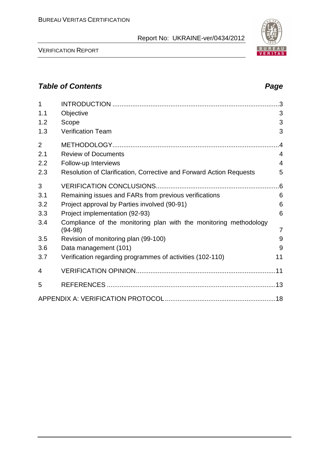VERIFICATION REPORT

#### **Table of Contents Page 2014**

| $\mathbf{1}$   |                                                                                |                |
|----------------|--------------------------------------------------------------------------------|----------------|
| 1.1            | Objective                                                                      | 3              |
| 1.2            | Scope                                                                          | 3              |
| 1.3            | <b>Verification Team</b>                                                       | 3              |
| $\overline{2}$ |                                                                                | 4              |
| 2.1            | <b>Review of Documents</b>                                                     | 4              |
| 2.2            | Follow-up Interviews                                                           | 4              |
| 2.3            | Resolution of Clarification, Corrective and Forward Action Requests            | 5              |
| 3              |                                                                                | .6             |
| 3.1            | Remaining issues and FARs from previous verifications                          | 6              |
| 3.2            | Project approval by Parties involved (90-91)                                   | 6              |
| 3.3            | Project implementation (92-93)                                                 | 6              |
| 3.4            | Compliance of the monitoring plan with the monitoring methodology<br>$(94-98)$ | $\overline{7}$ |
| 3.5            | Revision of monitoring plan (99-100)                                           | 9              |
| 3.6            | Data management (101)                                                          | 9              |
| 3.7            | Verification regarding programmes of activities (102-110)                      | 11             |
| 4              |                                                                                |                |
| 5              |                                                                                |                |
|                |                                                                                |                |

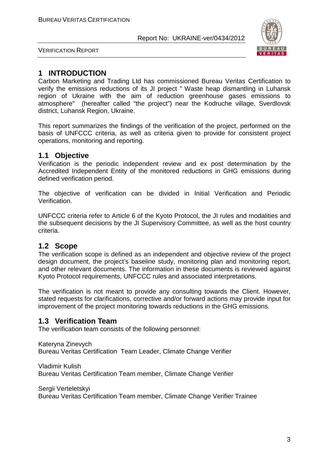

VERIFICATION REPORT

#### **1 INTRODUCTION**

Carbon Marketing and Trading Ltd has commissioned Bureau Veritas Certification to verify the emissions reductions of its JI project " Waste heap dismantling in Luhansk region of Ukraine with the aim of reduction greenhouse gases emissions to atmosphere" (hereafter called "the project") near the Kodruche village, Sverdlovsk district, Luhansk Region, Ukraine.

This report summarizes the findings of the verification of the project, performed on the basis of UNFCCC criteria, as well as criteria given to provide for consistent project operations, monitoring and reporting.

#### **1.1 Objective**

Verification is the periodic independent review and ex post determination by the Accredited Independent Entity of the monitored reductions in GHG emissions during defined verification period.

The objective of verification can be divided in Initial Verification and Periodic Verification.

UNFCCC criteria refer to Article 6 of the Kyoto Protocol, the JI rules and modalities and the subsequent decisions by the JI Supervisory Committee, as well as the host country criteria.

#### **1.2 Scope**

The verification scope is defined as an independent and objective review of the project design document, the project's baseline study, monitoring plan and monitoring report, and other relevant documents. The information in these documents is reviewed against Kyoto Protocol requirements, UNFCCC rules and associated interpretations.

The verification is not meant to provide any consulting towards the Client. However, stated requests for clarifications, corrective and/or forward actions may provide input for improvement of the project monitoring towards reductions in the GHG emissions.

#### **1.3 Verification Team**

The verification team consists of the following personnel:

Kateryna Zinevych Bureau Veritas Certification Team Leader, Climate Change Verifier

Vladimir Kulish Bureau Veritas Certification Team member, Climate Change Verifier

Sergii Verteletskyi

Bureau Veritas Certification Team member, Climate Change Verifier Trainee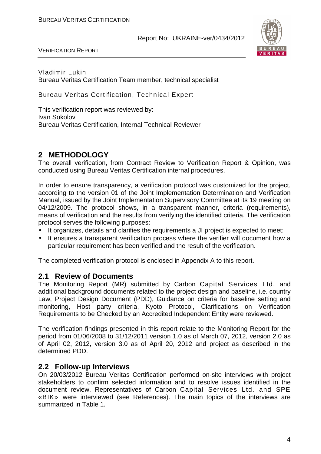

VERIFICATION REPORT

Vladimir Lukin Bureau Veritas Certification Team member, technical specialist

Bureau Veritas Certification, Technical Expert

This verification report was reviewed by: Ivan Sokolov Bureau Veritas Certification, Internal Technical Reviewer

#### **2 METHODOLOGY**

The overall verification, from Contract Review to Verification Report & Opinion, was conducted using Bureau Veritas Certification internal procedures.

In order to ensure transparency, a verification protocol was customized for the project, according to the version 01 of the Joint Implementation Determination and Verification Manual, issued by the Joint Implementation Supervisory Committee at its 19 meeting on 04/12/2009. The protocol shows, in a transparent manner, criteria (requirements), means of verification and the results from verifying the identified criteria. The verification protocol serves the following purposes:

- It organizes, details and clarifies the requirements a JI project is expected to meet;
- It ensures a transparent verification process where the verifier will document how a particular requirement has been verified and the result of the verification.

The completed verification protocol is enclosed in Appendix A to this report.

#### **2.1 Review of Documents**

The Monitoring Report (MR) submitted by Carbon Capital Services Ltd. and additional background documents related to the project design and baseline, i.e. country Law, Project Design Document (PDD), Guidance on criteria for baseline setting and monitoring, Host party criteria, Kyoto Protocol, Clarifications on Verification Requirements to be Checked by an Accredited Independent Entity were reviewed.

The verification findings presented in this report relate to the Monitoring Report for the period from 01/06/2008 to 31/12/2011 version 1.0 as of March 07, 2012, version 2.0 as of April 02, 2012, version 3.0 as of April 20, 2012 and project as described in the determined PDD.

#### **2.2 Follow-up Interviews**

On 20/03/2012 Bureau Veritas Certification performed on-site interviews with project stakeholders to confirm selected information and to resolve issues identified in the document review. Representatives of Carbon Capital Services Ltd. and SPE «BIK» were interviewed (see References). The main topics of the interviews are summarized in Table 1.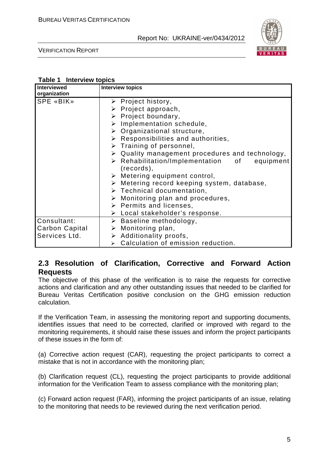

VERIFICATION REPORT

#### **Table 1 Interview topics**

| <b>Interviewed</b><br>organization | <b>Interview topics</b>                                                      |
|------------------------------------|------------------------------------------------------------------------------|
| SPE «BIK»                          | $\triangleright$ Project history,                                            |
|                                    | $\triangleright$ Project approach,                                           |
|                                    | $\triangleright$ Project boundary,                                           |
|                                    | $\triangleright$ Implementation schedule,                                    |
|                                    | $\triangleright$ Organizational structure,                                   |
|                                    | $\triangleright$ Responsibilities and authorities,                           |
|                                    | $\triangleright$ Training of personnel,                                      |
|                                    | $\triangleright$ Quality management procedures and technology,               |
|                                    | $\triangleright$ Rehabilitation/Implementation of<br>equipment<br>(records), |
|                                    | $\triangleright$ Metering equipment control,                                 |
|                                    | $\triangleright$ Metering record keeping system, database,                   |
|                                    | $\triangleright$ Technical documentation,                                    |
|                                    | $\triangleright$ Monitoring plan and procedures,                             |
|                                    | $\triangleright$ Permits and licenses,                                       |
|                                    | $\triangleright$ Local stakeholder's response.                               |
| Consultant:                        | $\triangleright$ Baseline methodology,                                       |
| Carbon Capital                     | $\triangleright$ Monitoring plan,                                            |
| Services Ltd.                      | $\triangleright$ Additionality proofs,                                       |
|                                    | $\triangleright$ Calculation of emission reduction.                          |

#### **2.3 Resolution of Clarification, Corrective and Forward Action Requests**

The objective of this phase of the verification is to raise the requests for corrective actions and clarification and any other outstanding issues that needed to be clarified for Bureau Veritas Certification positive conclusion on the GHG emission reduction calculation.

If the Verification Team, in assessing the monitoring report and supporting documents, identifies issues that need to be corrected, clarified or improved with regard to the monitoring requirements, it should raise these issues and inform the project participants of these issues in the form of:

(a) Corrective action request (CAR), requesting the project participants to correct a mistake that is not in accordance with the monitoring plan;

(b) Clarification request (CL), requesting the project participants to provide additional information for the Verification Team to assess compliance with the monitoring plan;

(c) Forward action request (FAR), informing the project participants of an issue, relating to the monitoring that needs to be reviewed during the next verification period.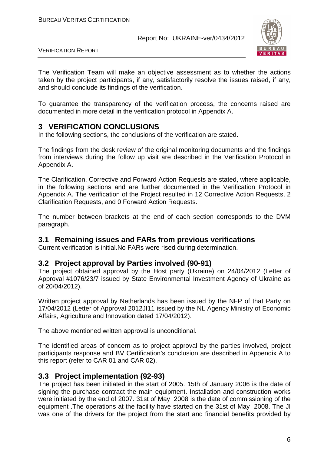

VERIFICATION REPORT

The Verification Team will make an objective assessment as to whether the actions taken by the project participants, if any, satisfactorily resolve the issues raised, if any, and should conclude its findings of the verification.

To guarantee the transparency of the verification process, the concerns raised are documented in more detail in the verification protocol in Appendix A.

#### **3 VERIFICATION CONCLUSIONS**

In the following sections, the conclusions of the verification are stated.

The findings from the desk review of the original monitoring documents and the findings from interviews during the follow up visit are described in the Verification Protocol in Appendix A.

The Clarification, Corrective and Forward Action Requests are stated, where applicable, in the following sections and are further documented in the Verification Protocol in Appendix A. The verification of the Project resulted in 12 Corrective Action Requests, 2 Clarification Requests, and 0 Forward Action Requests.

The number between brackets at the end of each section corresponds to the DVM paragraph.

#### **3.1 Remaining issues and FARs from previous verifications**

Current verification is initial.No FARs were rised during determination.

#### **3.2 Project approval by Parties involved (90-91)**

The project obtained approval by the Host party (Ukraine) on 24/04/2012 (Letter of Approval #1076/23/7 issued by State Environmental Investment Agency of Ukraine as of 20/04/2012).

Written project approval by Netherlands has been issued by the NFP of that Party on 17/04/2012 (Letter of Approval 2012JI11 issued by the NL Agency Ministry of Economic Affairs, Agriculture and Innovation dated 17/04/2012).

The above mentioned written approval is unconditional.

The identified areas of concern as to project approval by the parties involved, project participants response and BV Certification's conclusion are described in Appendix A to this report (refer to CAR 01 and CAR 02).

#### **3.3 Project implementation (92-93)**

The project has been initiated in the start of 2005. 15th of January 2006 is the date of signing the purchase contract the main equipment. Installation and construction works were initiated by the end of 2007. 31st of May 2008 is the date of commissioning of the equipment .The operations at the facility have started on the 31st of May 2008. The JI was one of the drivers for the project from the start and financial benefits provided by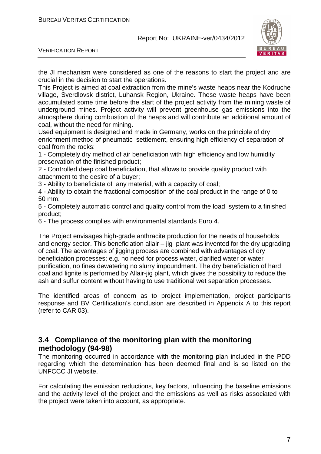

VERIFICATION REPORT

the JI mechanism were considered as one of the reasons to start the project and are crucial in the decision to start the operations.

This Project is aimed at coal extraction from the mine's waste heaps near the Kodruche village, Sverdlovsk district, Luhansk Region, Ukraine. These waste heaps have been accumulated some time before the start of the project activity from the mining waste of underground mines. Project activity will prevent greenhouse gas emissions into the atmosphere during combustion of the heaps and will contribute an additional amount of coal, without the need for mining.

Used equipment is designed and made in Germany, works on the principle of dry enrichment method of pneumatic settlement, ensuring high efficiency of separation of coal from the rocks:

1 - Completely dry method of air beneficiation with high efficiency and low humidity preservation of the finished product;

2 - Controlled deep coal beneficiation, that allows to provide quality product with attachment to the desire of a buyer;

3 - Ability to beneficiate of any material, with a capacity of coal;

4 - Ability to obtain the fractional composition of the coal product in the range of 0 to 50 mm;

5 - Completely automatic control and quality control from the load system to a finished product;

6 - The process complies with environmental standards Euro 4.

The Project envisages high-grade anthracite production for the needs of households and energy sector. This beneficiation allair  $-$  jig plant was invented for the dry upgrading of coal. The advantages of jigging process are combined with advantages of dry beneficiation processes; e.g. no need for process water, clarified water or water purification, no fines dewatering no slurry impoundment. The dry beneficiation of hard coal and lignite is performed by Allair-jig plant, which gives the possibility to reduce the ash and sulfur content without having to use traditional wet separation processes.

The identified areas of concern as to project implementation, project participants response and BV Certification's conclusion are described in Appendix A to this report (refer to CAR 03).

#### **3.4 Compliance of the monitoring plan with the monitoring methodology (94-98)**

The monitoring occurred in accordance with the monitoring plan included in the PDD regarding which the determination has been deemed final and is so listed on the UNFCCC JI website.

For calculating the emission reductions, key factors, influencing the baseline emissions and the activity level of the project and the emissions as well as risks associated with the project were taken into account, as appropriate.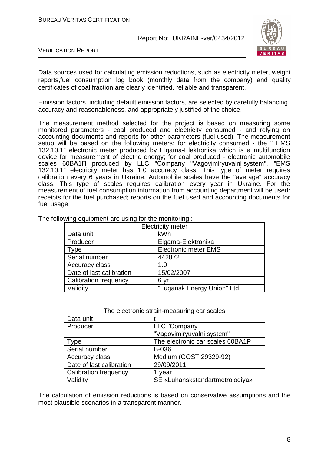

VERIFICATION REPORT

Data sources used for calculating emission reductions, such as electricity meter, weight reports,fuel consumption log book (monthly data from the company) and quality certificates of coal fraction are clearly identified, reliable and transparent.

Emission factors, including default emission factors, are selected by carefully balancing accuracy and reasonableness, and appropriately justified of the choice.

The measurement method selected for the project is based on measuring some monitored parameters - coal produced and electricity consumed - and relying on accounting documents and reports for other parameters (fuel used). The measurement setup will be based on the following meters: for electricity consumed - the " EMS 132.10.1" electronic meter produced by Elgama-Elektronika which is a multifunction device for measurement of electric energy; for coal produced - electronic automobile scales 60ВА1П produced by LLC "Company "Vagovimіryuvalnі system". "EMS 132.10.1" electricity meter has 1.0 accuracy class. This type of meter requires calibration every 6 years in Ukraine. Automobile scales have the "average" accuracy class. This type of scales requires calibration every year in Ukraine. For the measurement of fuel consumption information from accounting department will be used: receipts for the fuel purchased; reports on the fuel used and accounting documents for fuel usage.

| <b>Electricity meter</b>     |                             |  |
|------------------------------|-----------------------------|--|
| Data unit                    | kWh                         |  |
| Producer                     | Elgama-Elektronika          |  |
| Type                         | <b>Electronic meter EMS</b> |  |
| Serial number                | 442872                      |  |
| Accuracy class               | 1. $\Omega$                 |  |
| Date of last calibration     | 15/02/2007                  |  |
| <b>Calibration frequency</b> | 6 yr                        |  |
| Validity                     | "Lugansk Energy Union" Ltd. |  |

The following equipment are using for the monitoring :

| The electronic strain-measuring car scales |                                  |  |
|--------------------------------------------|----------------------------------|--|
| Data unit                                  |                                  |  |
| Producer                                   | LLC "Company                     |  |
|                                            | "Vagovimiryuvalni system"        |  |
| <b>Type</b>                                | The electronic car scales 60BA1P |  |
| Serial number                              | B-036                            |  |
| <b>Accuracy class</b>                      | Medium (GOST 29329-92)           |  |
| Date of last calibration                   | 29/09/2011                       |  |
| <b>Calibration frequency</b>               | 1 year                           |  |
| Validity                                   | SE «Luhanskstandartmetrologiya»  |  |

The calculation of emission reductions is based on conservative assumptions and the most plausible scenarios in a transparent manner.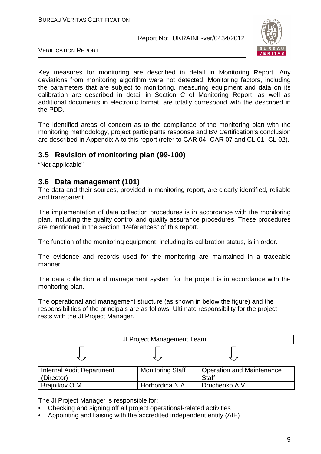

VERIFICATION REPORT

Key measures for monitoring are described in detail in Monitoring Report. Any deviations from monitoring algorithm were not detected. Monitoring factors, including the parameters that are subject to monitoring, measuring equipment and data on its calibration are described in detail in Section C of Monitoring Report, as well as additional documents in electronic format, are totally correspond with the described in the PDD.

The identified areas of concern as to the compliance of the monitoring plan with the monitoring methodology, project participants response and BV Certification's conclusion are described in Appendix A to this report (refer to CAR 04- CAR 07 and CL 01- CL 02).

#### **3.5 Revision of monitoring plan (99-100)**

"Not applicable"

#### **3.6 Data management (101)**

The data and their sources, provided in monitoring report, are clearly identified, reliable and transparent.

The implementation of data collection procedures is in accordance with the monitoring plan, including the quality control and quality assurance procedures. These procedures are mentioned in the section "References" of this report.

The function of the monitoring equipment, including its calibration status, is in order.

The evidence and records used for the monitoring are maintained in a traceable manner.

The data collection and management system for the project is in accordance with the monitoring plan.

The operational and management structure (as shown in below the figure) and the responsibilities of the principals are as follows. Ultimate responsibility for the project rests with the JI Project Manager.

| JI Project Management Team                     |                         |                                                  |  |
|------------------------------------------------|-------------------------|--------------------------------------------------|--|
|                                                |                         |                                                  |  |
| <b>Internal Audit Department</b><br>(Director) | <b>Monitoring Staff</b> | <b>Operation and Maintenance</b><br><b>Staff</b> |  |
| Brajnikov O.M.                                 | Horhordina N.A.         | Druchenko A.V.                                   |  |

The JI Project Manager is responsible for:

- Checking and signing off all project operational-related activities
- Appointing and liaising with the accredited independent entity (AIE)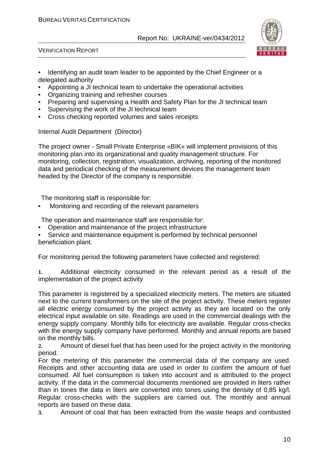

VERIFICATION REPORT

- Identifying an audit team leader to be appointed by the Chief Engineer or a delegated authority
- Appointing a JI technical team to undertake the operational activities
- Organizing training and refresher courses
- Preparing and supervising a Health and Safety Plan for the JI technical team
- Supervising the work of the JI technical team
- Cross checking reported volumes and sales receipts

Internal Audit Department (Director)

The project owner - Small Private Enterprise «BIK» will implement provisions of this monitoring plan into its organizational and quality management structure. For monitoring, collection, registration, visualization, archiving, reporting of the monitored data and periodical checking of the measurement devices the management team headed by the Director of the company is responsible.

The monitoring staff is responsible for:

• Monitoring and recording of the relevant parameters

The operation and maintenance staff are responsible for:

• Operation and maintenance of the project infrastructure

Service and maintenance equipment is performed by technical personnel beneficiation plant.

For monitoring period the following parameters have collected and registered:

**1.** Additional electricity consumed in the relevant period as a result of the implementation of the project activity

This parameter is registered by a specialized electricity meters. The meters are situated next to the current transformers on the site of the project activity. These meters register all electric energy consumed by the project activity as they are located on the only electrical input available on site. Readings are used in the commercial dealings with the energy supply company. Monthly bills for electricity are available. Regular cross-checks with the energy supply company have performed. Monthly and annual reports are based on the monthly bills.

**2.** Amount of diesel fuel that has been used for the project activity in the monitoring period.

For the metering of this parameter the commercial data of the company are used. Receipts and other accounting data are used in order to confirm the amount of fuel consumed. All fuel consumption is taken into account and is attributed to the project activity. If the data in the commercial documents mentioned are provided in liters rather than in tones the data in liters are converted into tones using the density of 0,85 kg/l. Regular cross-checks with the suppliers are carried out. The monthly and annual reports are based on these data.

**3.** Amount of coal that has been extracted from the waste heaps and combusted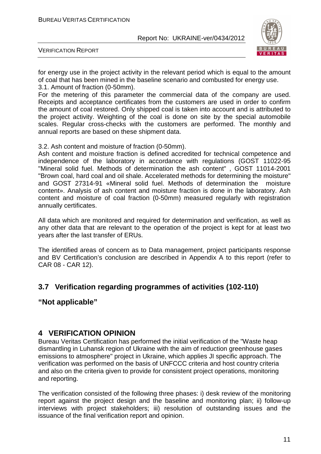

VERIFICATION REPORT

for energy use in the project activity in the relevant period which is equal to the amount of coal that has been mined in the baseline scenario and combusted for energy use. 3.1. Amount of fraction (0-50mm).

For the metering of this parameter the commercial data of the company are used. Receipts and acceptance certificates from the customers are used in order to confirm the amount of coal restored. Only shipped coal is taken into account and is attributed to the project activity. Weighting of the coal is done on site by the special automobile scales. Regular cross-checks with the customers are performed. The monthly and annual reports are based on these shipment data.

3.2. Ash content and moisture of fraction (0-50mm).

Ash content and moisture fraction is defined accredited for technical competence and independence of the laboratory in accordance with regulations (GOST 11022-95 "Mineral solid fuel. Methods of determination the ash content" , GOST 11014-2001 "Brown coal, hard coal and oil shale. Accelerated methods for determining the moisture" and GOST 27314-91 «Mineral solid fuel. Methods of determination the moisture content». Analysis of ash content and moisture fraction is done in the laboratory. Ash content and moisture of coal fraction (0-50mm) measured regularly with registration annually certificates.

All data which are monitored and required for determination and verification, as well as any other data that are relevant to the operation of the project is kept for at least two years after the last transfer of ERUs.

The identified areas of concern as to Data management, project participants response and BV Certification's conclusion are described in Appendix A to this report (refer to CAR 08 - CAR 12).

#### **3.7 Verification regarding programmes of activities (102-110)**

#### **"Not applicable"**

#### **4 VERIFICATION OPINION**

Bureau Veritas Certification has performed the initial verification of the "Waste heap dismantling in Luhansk region of Ukraine with the aim of reduction greenhouse gases emissions to atmosphere" project in Ukraine, which applies JI specific approach. The verification was performed on the basis of UNFCCC criteria and host country criteria and also on the criteria given to provide for consistent project operations, monitoring and reporting.

The verification consisted of the following three phases: i) desk review of the monitoring report against the project design and the baseline and monitoring plan; ii) follow-up interviews with project stakeholders; iii) resolution of outstanding issues and the issuance of the final verification report and opinion.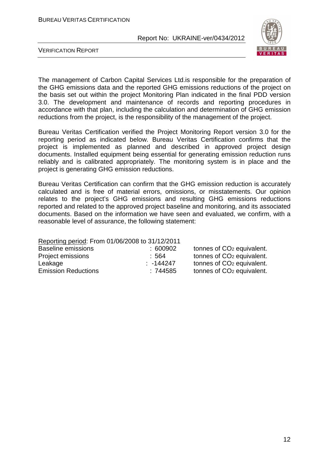

VERIFICATION REPORT

The management of Carbon Capital Services Ltd.is responsible for the preparation of the GHG emissions data and the reported GHG emissions reductions of the project on the basis set out within the project Monitoring Plan indicated in the final PDD version 3.0. The development and maintenance of records and reporting procedures in accordance with that plan, including the calculation and determination of GHG emission reductions from the project, is the responsibility of the management of the project.

Bureau Veritas Certification verified the Project Monitoring Report version 3.0 for the reporting period as indicated below. Bureau Veritas Certification confirms that the project is implemented as planned and described in approved project design documents. Installed equipment being essential for generating emission reduction runs reliably and is calibrated appropriately. The monitoring system is in place and the project is generating GHG emission reductions.

Bureau Veritas Certification can confirm that the GHG emission reduction is accurately calculated and is free of material errors, omissions, or misstatements. Our opinion relates to the project's GHG emissions and resulting GHG emissions reductions reported and related to the approved project baseline and monitoring, and its associated documents. Based on the information we have seen and evaluated, we confirm, with a reasonable level of assurance, the following statement:

| Reporting period: From 01/06/2008 to 31/12/2011 |                                       |  |  |  |
|-------------------------------------------------|---------------------------------------|--|--|--|
| : 600902                                        | tonnes of CO <sub>2</sub> equivalent. |  |  |  |
| :564                                            | tonnes of CO <sub>2</sub> equivalent. |  |  |  |
| $: -144247$                                     | tonnes of CO <sub>2</sub> equivalent. |  |  |  |
| :744585                                         | tonnes of CO <sub>2</sub> equivalent. |  |  |  |
|                                                 |                                       |  |  |  |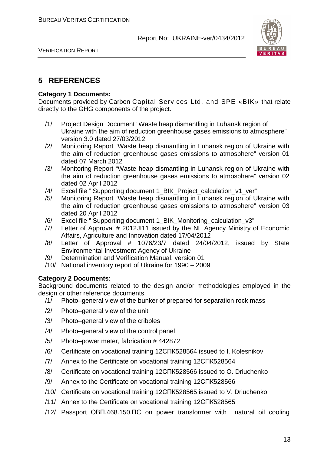



#### **5 REFERENCES**

#### **Category 1 Documents:**

Documents provided by Carbon Capital Services Ltd. and SPE «BIK» that relate directly to the GHG components of the project.

- /1/ Project Design Document "Waste heap dismantling in Luhansk region of Ukraine with the aim of reduction greenhouse gases emissions to atmosphere" version 3.0 dated 27/03/2012
- /2/ Monitoring Report "Waste heap dismantling in Luhansk region of Ukraine with the aim of reduction greenhouse gases emissions to atmosphere" version 01 dated 07 March 2012
- /3/ Monitoring Report "Waste heap dismantling in Luhansk region of Ukraine with the aim of reduction greenhouse gases emissions to atmosphere" version 02 dated 02 April 2012
- /4/ Excel file " Supporting document 1\_BIK\_Project\_calculation\_v1\_ver"
- /5/ Monitoring Report "Waste heap dismantling in Luhansk region of Ukraine with the aim of reduction greenhouse gases emissions to atmosphere" version 03 dated 20 April 2012
- /6/ Excel file " Supporting document 1\_BIK\_Monitoring\_calculation\_v3"
- /7/ Letter of Approval # 2012JI11 issued by the NL Agency Ministry of Economic Affairs, Agriculture and Innovation dated 17/04/2012
- /8/ Letter of Approval # 1076/23/7 dated 24/04/2012, issued by State Environmental Investment Agency of Ukraine
- /9/ Determination and Verification Manual, version 01
- /10/ National inventory report of Ukraine for 1990 2009

#### **Category 2 Documents:**

Background documents related to the design and/or methodologies employed in the design or other reference documents.

- /1/ Photo–general view of the bunker of prepared for separation rock mass
- /2/ Photo–general view of the unit
- /3/ Photo–general view of the cribbles
- /4/ Photo–general view of the control panel
- /5/ Photo–power meter, fabrication # 442872
- /6/ Certificate on vocational training 12СПК528564 issued to I. Kolesnikov
- /7/ Annex to the Certificate on vocational training 12СПК528564
- /8/ Certificate on vocational training 12СПК528566 issued to O. Driuchenko
- /9/ Annex to the Certificate on vocational training 12СПК528566
- /10/ Certificate on vocational training 12СПК528565 issued to V. Driuchenko
- /11/ Annex to the Certificate on vocational training 12СПК528565
- /12/ Passport ОВП.468.150.ПС on power transformer with natural oil cooling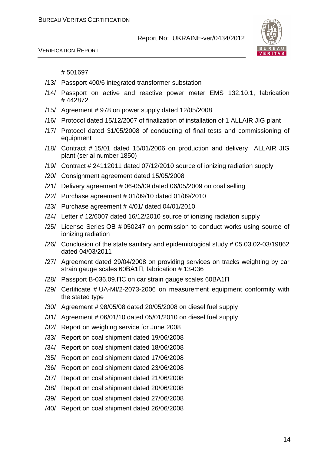



#### # 501697

- /13/ Passport 400/6 integrated transformer substation
- /14/ Passport on active and reactive power meter EMS 132.10.1, fabrication # 442872
- /15/ Agreement # 978 on power supply dated 12/05/2008
- /16/ Protocol dated 15/12/2007 of finalization of installation of 1 ALLAIR JIG plant
- /17/ Protocol dated 31/05/2008 of conducting of final tests and commissioning of equipment
- /18/ Contract # 15/01 dated 15/01/2006 on production and delivery ALLAIR JIG plant (serial number 1850)
- /19/ Contract # 24112011 dated 07/12/2010 source of ionizing radiation supply
- /20/ Consignment agreement dated 15/05/2008
- $/21/$  Delivery agreement # 06-05/09 dated 06/05/2009 on coal selling
- /22/ Purchase agreement # 01/09/10 dated 01/09/2010
- /23/ Purchase agreement # 4/01/ dated 04/01/2010
- /24/ Letter # 12/6007 dated 16/12/2010 source of ionizing radiation supply
- /25/ License Series ОВ # 050247 on permission to conduct works using source of ionizing radiation
- /26/ Conclusion of the state sanitary and epidemiological study # 05.03.02-03/19862 dated 04/03/2011
- /27/ Agreement dated 29/04/2008 on providing services on tracks weighting by car strain gauge scales 60ВА1П, fabrication # 13-036
- /28/ Passport В-036.09.ПС on car strain gauge scales 60ВА1П
- /29/ Certificate # UA-MI/2-2073-2006 on measurement equipment conformity with the stated type
- /30/ Agreement # 98/05/08 dated 20/05/2008 on diesel fuel supply
- /31/ Agreement # 06/01/10 dated 05/01/2010 on diesel fuel supply
- /32/ Report on weighing service for June 2008
- /33/ Report on coal shipment dated 19/06/2008
- /34/ Report on coal shipment dated 18/06/2008
- /35/ Report on coal shipment dated 17/06/2008
- /36/ Report on coal shipment dated 23/06/2008
- /37/ Report on coal shipment dated 21/06/2008
- /38/ Report on coal shipment dated 20/06/2008
- /39/ Report on coal shipment dated 27/06/2008
- /40/ Report on coal shipment dated 26/06/2008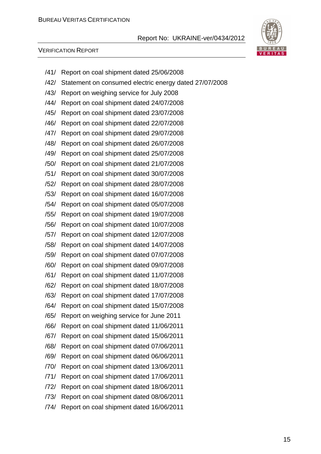

#### VERIFICATION REPORT

/41/ Report on coal shipment dated 25/06/2008 /42/ Statement on consumed electric energy dated 27/07/2008 /43/ Report on weighing service for July 2008 /44/ Report on coal shipment dated 24/07/2008 /45/ Report on coal shipment dated 23/07/2008 /46/ Report on coal shipment dated 22/07/2008 /47/ Report on coal shipment dated 29/07/2008 /48/ Report on coal shipment dated 26/07/2008 /49/ Report on coal shipment dated 25/07/2008 /50/ Report on coal shipment dated 21/07/2008 /51/ Report on coal shipment dated 30/07/2008 /52/ Report on coal shipment dated 28/07/2008 /53/ Report on coal shipment dated 16/07/2008 /54/ Report on coal shipment dated 05/07/2008 /55/ Report on coal shipment dated 19/07/2008 /56/ Report on coal shipment dated 10/07/2008 /57/ Report on coal shipment dated 12/07/2008 /58/ Report on coal shipment dated 14/07/2008 /59/ Report on coal shipment dated 07/07/2008 /60/ Report on coal shipment dated 09/07/2008 /61/ Report on coal shipment dated 11/07/2008 /62/ Report on coal shipment dated 18/07/2008 /63/ Report on coal shipment dated 17/07/2008 /64/ Report on coal shipment dated 15/07/2008 /65/ Report on weighing service for June 2011 /66/ Report on coal shipment dated 11/06/2011 /67/ Report on coal shipment dated 15/06/2011 /68/ Report on coal shipment dated 07/06/2011 /69/ Report on coal shipment dated 06/06/2011 /70/ Report on coal shipment dated 13/06/2011 /71/ Report on coal shipment dated 17/06/2011 /72/ Report on coal shipment dated 18/06/2011 /73/ Report on coal shipment dated 08/06/2011 /74/ Report on coal shipment dated 16/06/2011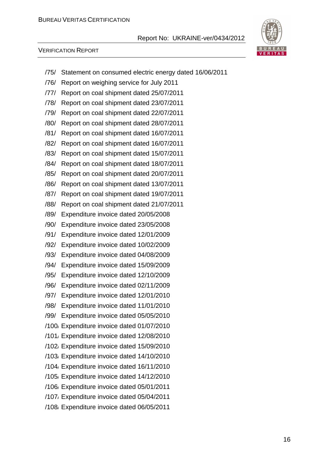

#### VERIFICATION REPORT

- /75/ Statement on consumed electric energy dated 16/06/2011
- /76/ Report on weighing service for July 2011
- /77/ Report on coal shipment dated 25/07/2011
- /78/ Report on coal shipment dated 23/07/2011
- /79/ Report on coal shipment dated 22/07/2011
- /80/ Report on coal shipment dated 28/07/2011
- /81/ Report on coal shipment dated 16/07/2011
- /82/ Report on coal shipment dated 16/07/2011
- /83/ Report on coal shipment dated 15/07/2011
- /84/ Report on coal shipment dated 18/07/2011
- /85/ Report on coal shipment dated 20/07/2011
- /86/ Report on coal shipment dated 13/07/2011
- /87/ Report on coal shipment dated 19/07/2011
- /88/ Report on coal shipment dated 21/07/2011
- /89/ Expenditure invoice dated 20/05/2008
- /90/ Expenditure invoice dated 23/05/2008
- /91/ Expenditure invoice dated 12/01/2009
- /92/ Expenditure invoice dated 10/02/2009
- /93/ Expenditure invoice dated 04/08/2009
- /94/ Expenditure invoice dated 15/09/2009
- /95/ Expenditure invoice dated 12/10/2009
- /96/ Expenditure invoice dated 02/11/2009
- /97/ Expenditure invoice dated 12/01/2010
- /98/ Expenditure invoice dated 11/01/2010
- /99/ Expenditure invoice dated 05/05/2010
- /100/ Expenditure invoice dated 01/07/2010
- /101/ Expenditure invoice dated 12/08/2010
- /102/ Expenditure invoice dated 15/09/2010
- /103/ Expenditure invoice dated 14/10/2010
- /104/ Expenditure invoice dated 16/11/2010
- /105/ Expenditure invoice dated 14/12/2010
- /106/ Expenditure invoice dated 05/01/2011
- /107/ Expenditure invoice dated 05/04/2011
- /108/ Expenditure invoice dated 06/05/2011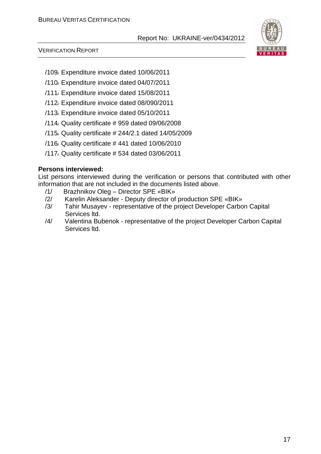

#### VERIFICATION REPORT

- /109/ Expenditure invoice dated 10/06/2011
- /110/ Expenditure invoice dated 04/07/2011
- /111/ Expenditure invoice dated 15/08/2011
- /112/ Expenditure invoice dated 08/090/2011
- /113/ Expenditure invoice dated 05/10/2011
- /114/ Quality certificate # 959 dated 09/06/2008
- /115/ Quality certificate # 244/2.1 dated 14/05/2009
- /116/ Quality certificate # 441 dated 10/06/2010
- /117/ Quality certificate # 534 dated 03/06/2011

#### **Persons interviewed:**

List persons interviewed during the verification or persons that contributed with other information that are not included in the documents listed above.

- /1/ Brazhnikov Oleg Director SPE «BIK»
- /2/ Karelin Aleksander Deputy director of production SPE «BIK»
- /3/ Tahir Musayev representative of the project Developer Carbon Capital Services ltd.
- /4/ Valentina Bubenok representative of the project Developer Carbon Capital Services ltd.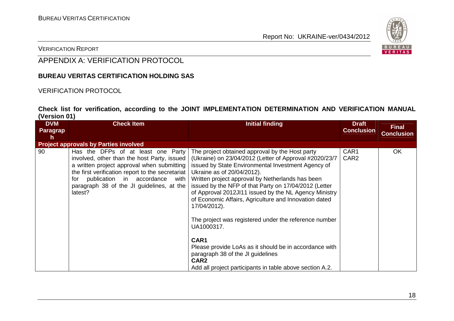

#### VERIFICATION REPORT

### APPENDIX A: VERIFICATION PROTOCOL

#### **BUREAU VERITAS CERTIFICATION HOLDING SAS**

#### VERIFICATION PROTOCOL

#### **Check list for verification, according to the JOINT IMPLEMENTATION DETERMINATION AND VERIFICATION MANUAL (Version 01)**

| <b>DVM</b><br>Paragrap | <b>Check Item</b>                                                                                                                                                                                                                                                                       | <b>Initial finding</b>                                                                                                                                                                                                                                                                                                                                                                                                                                                                                                                                                                                                                                                                                     | <b>Draft</b><br><b>Conclusion</b> | <b>Final</b><br><b>Conclusion</b> |
|------------------------|-----------------------------------------------------------------------------------------------------------------------------------------------------------------------------------------------------------------------------------------------------------------------------------------|------------------------------------------------------------------------------------------------------------------------------------------------------------------------------------------------------------------------------------------------------------------------------------------------------------------------------------------------------------------------------------------------------------------------------------------------------------------------------------------------------------------------------------------------------------------------------------------------------------------------------------------------------------------------------------------------------------|-----------------------------------|-----------------------------------|
|                        | <b>Project approvals by Parties involved</b>                                                                                                                                                                                                                                            |                                                                                                                                                                                                                                                                                                                                                                                                                                                                                                                                                                                                                                                                                                            |                                   |                                   |
| 90                     | Has the DFPs of at least one Party<br>involved, other than the host Party, issued<br>a written project approval when submitting<br>the first verification report to the secretariat<br>publication in accordance<br>with<br>for<br>paragraph 38 of the JI guidelines, at the<br>latest? | The project obtained approval by the Host party<br>(Ukraine) on 23/04/2012 (Letter of Approval #2020/23/7<br>issued by State Environmental Investment Agency of<br>Ukraine as of 20/04/2012).<br>Written project approval by Netherlands has been<br>issued by the NFP of that Party on 17/04/2012 (Letter<br>of Approval 2012JI11 issued by the NL Agency Ministry<br>of Economic Affairs, Agriculture and Innovation dated<br>17/04/2012).<br>The project was registered under the reference number<br>UA1000317.<br>CAR1<br>Please provide LoAs as it should be in accordance with<br>paragraph 38 of the JI guidelines<br>CAR <sub>2</sub><br>Add all project participants in table above section A.2. | CAR1<br>CAR <sub>2</sub>          | <b>OK</b>                         |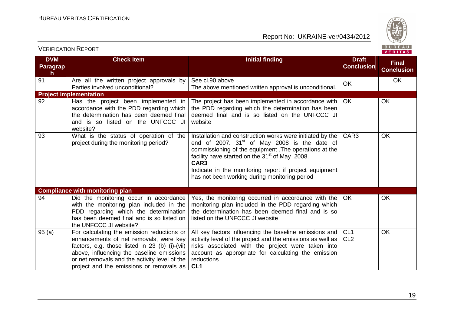

| <b>DVM</b><br><b>Paragrap</b> | <b>Check Item</b>                                                                                                                                                                                                                                                                | <b>Initial finding</b>                                                                                                                                                                                                                                                                                                                                            | <b>Draft</b><br><b>Conclusion</b>  | <b>Final</b><br><b>Conclusion</b> |
|-------------------------------|----------------------------------------------------------------------------------------------------------------------------------------------------------------------------------------------------------------------------------------------------------------------------------|-------------------------------------------------------------------------------------------------------------------------------------------------------------------------------------------------------------------------------------------------------------------------------------------------------------------------------------------------------------------|------------------------------------|-----------------------------------|
| $\mathsf{h}$<br>91            | Are all the written project approvals by<br>Parties involved unconditional?                                                                                                                                                                                                      | See cl.90 above<br>The above mentioned written approval is unconditional.                                                                                                                                                                                                                                                                                         | <b>OK</b>                          | <b>OK</b>                         |
|                               | <b>Project implementation</b>                                                                                                                                                                                                                                                    |                                                                                                                                                                                                                                                                                                                                                                   |                                    |                                   |
| 92                            | Has the project been implemented in<br>accordance with the PDD regarding which<br>the determination has been deemed final<br>and is so listed on the UNFCCC JI<br>website?                                                                                                       | The project has been implemented in accordance with<br>the PDD regarding which the determination has been<br>deemed final and is so listed on the UNFCCC JI<br>website                                                                                                                                                                                            | OK                                 | <b>OK</b>                         |
| 93                            | What is the status of operation of the<br>project during the monitoring period?                                                                                                                                                                                                  | Installation and construction works were initiated by the<br>end of 2007. $31st$ of May 2008 is the date of<br>commissioning of the equipment. The operations at the<br>facility have started on the 31 <sup>st</sup> of May 2008.<br>CAR <sub>3</sub><br>Indicate in the monitoring report if project equipment<br>has not been working during monitoring period | CAR <sub>3</sub>                   | <b>OK</b>                         |
|                               | <b>Compliance with monitoring plan</b>                                                                                                                                                                                                                                           |                                                                                                                                                                                                                                                                                                                                                                   |                                    |                                   |
| 94                            | Did the monitoring occur in accordance<br>with the monitoring plan included in the<br>PDD regarding which the determination<br>has been deemed final and is so listed on<br>the UNFCCC JI website?                                                                               | Yes, the monitoring occurred in accordance with the<br>monitoring plan included in the PDD regarding which<br>the determination has been deemed final and is so<br>listed on the UNFCCC JI website                                                                                                                                                                | OK.                                | <b>OK</b>                         |
| 95(a)                         | For calculating the emission reductions or<br>enhancements of net removals, were key<br>factors, e.g. those listed in 23 (b) (i)-(vii)<br>above, influencing the baseline emissions<br>or net removals and the activity level of the<br>project and the emissions or removals as | All key factors influencing the baseline emissions and<br>activity level of the project and the emissions as well as<br>risks associated with the project were taken into<br>account as appropriate for calculating the emission<br>reductions<br>CL <sub>1</sub>                                                                                                 | CL <sub>1</sub><br>CL <sub>2</sub> | <b>OK</b>                         |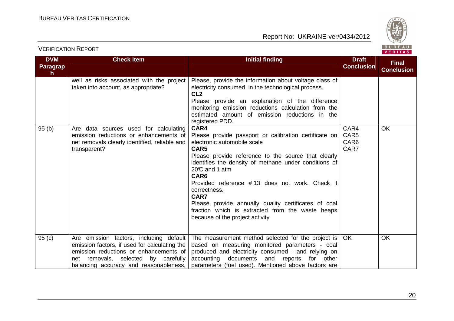



| <b>DVM</b><br>Paragrap<br>h. | <b>Check Item</b>                                                                                                                                                                                                   | <b>Initial finding</b>                                                                                                                                                                                                                                                                                                                                                                                                                                                  | <b>Draft</b><br><b>Conclusion</b>        | <b>Final</b><br><b>Conclusion</b> |
|------------------------------|---------------------------------------------------------------------------------------------------------------------------------------------------------------------------------------------------------------------|-------------------------------------------------------------------------------------------------------------------------------------------------------------------------------------------------------------------------------------------------------------------------------------------------------------------------------------------------------------------------------------------------------------------------------------------------------------------------|------------------------------------------|-----------------------------------|
|                              | well as risks associated with the project<br>taken into account, as appropriate?                                                                                                                                    | Please, provide the information about voltage class of<br>electricity consumed in the technological process.<br>CL <sub>2</sub><br>Please provide an explanation of the difference<br>monitoring emission reductions calculation from the<br>estimated amount of emission reductions in the<br>registered PDD.                                                                                                                                                          |                                          |                                   |
| 95(b)                        | Are data sources used for calculating<br>emission reductions or enhancements of<br>net removals clearly identified, reliable and<br>transparent?                                                                    | CAR4<br>Please provide passport or calibration certificate on<br>electronic automobile scale<br>CAR5<br>Please provide reference to the source that clearly<br>identifies the density of methane under conditions of<br>20°C and 1 atm<br>CAR6<br>Provided reference #13 does not work. Check it<br>correctness.<br>CAR7<br>Please provide annually quality certificates of coal<br>fraction which is extracted from the waste heaps<br>because of the project activity | CAR4<br>CAR5<br>CAR <sub>6</sub><br>CAR7 | <b>OK</b>                         |
| 95 <sub>(c)</sub>            | Are emission factors, including default<br>emission factors, if used for calculating the<br>emission reductions or enhancements of<br>net removals, selected by carefully<br>balancing accuracy and reasonableness, | The measurement method selected for the project is<br>based on measuring monitored parameters - coal<br>produced and electricity consumed - and relying on<br>accounting documents and reports<br>for other<br>parameters (fuel used). Mentioned above factors are                                                                                                                                                                                                      | OK                                       | <b>OK</b>                         |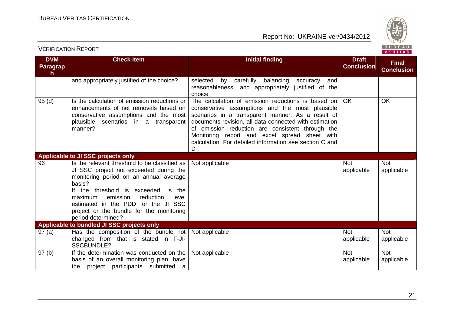

#### VERIFICATION REPORT

| <b>DVM</b>                      | <b>Check Item</b>                                                                                                                                                                                                                                                                                                                         | <b>Initial finding</b>                                                                                                                                                                                                                                                                                                                                                                    | <b>Draft</b>             | <b>Final</b>             |
|---------------------------------|-------------------------------------------------------------------------------------------------------------------------------------------------------------------------------------------------------------------------------------------------------------------------------------------------------------------------------------------|-------------------------------------------------------------------------------------------------------------------------------------------------------------------------------------------------------------------------------------------------------------------------------------------------------------------------------------------------------------------------------------------|--------------------------|--------------------------|
| <b>Paragrap</b><br>$\mathsf{h}$ |                                                                                                                                                                                                                                                                                                                                           |                                                                                                                                                                                                                                                                                                                                                                                           | <b>Conclusion</b>        | <b>Conclusion</b>        |
|                                 | and appropriately justified of the choice?                                                                                                                                                                                                                                                                                                | selected<br>by carefully balancing<br>and<br>accuracy<br>reasonableness, and appropriately justified of the<br>choice                                                                                                                                                                                                                                                                     |                          |                          |
| 95(d)                           | Is the calculation of emission reductions or<br>enhancements of net removals based on<br>conservative assumptions and the most<br>plausible scenarios in a transparent<br>manner?                                                                                                                                                         | The calculation of emission reductions is based on<br>conservative assumptions and the most plausible<br>scenarios in a transparent manner. As a result of<br>documents revision, all data connected with estimation<br>of emission reduction are consistent through the<br>Monitoring report and excel spread sheet with<br>calculation. For detailed information see section C and<br>D | <b>OK</b>                | OK                       |
|                                 | Applicable to JI SSC projects only                                                                                                                                                                                                                                                                                                        |                                                                                                                                                                                                                                                                                                                                                                                           |                          |                          |
| 96                              | Is the relevant threshold to be classified as<br>JI SSC project not exceeded during the<br>monitoring period on an annual average<br>basis?<br>If the threshold is exceeded, is the<br>reduction<br>emission<br>level<br>maximum<br>estimated in the PDD for the JI SSC<br>project or the bundle for the monitoring<br>period determined? | Not applicable                                                                                                                                                                                                                                                                                                                                                                            | <b>Not</b><br>applicable | <b>Not</b><br>applicable |
|                                 | Applicable to bundled JI SSC projects only                                                                                                                                                                                                                                                                                                |                                                                                                                                                                                                                                                                                                                                                                                           |                          |                          |
| 97(a)                           | Has the composition of the bundle not<br>changed from that is stated in F-JI-<br><b>SSCBUNDLE?</b>                                                                                                                                                                                                                                        | Not applicable                                                                                                                                                                                                                                                                                                                                                                            | <b>Not</b><br>applicable | <b>Not</b><br>applicable |
| 97 <sub>(b)</sub>               | If the determination was conducted on the<br>basis of an overall monitoring plan, have<br>the project participants submitted a                                                                                                                                                                                                            | Not applicable                                                                                                                                                                                                                                                                                                                                                                            | <b>Not</b><br>applicable | <b>Not</b><br>applicable |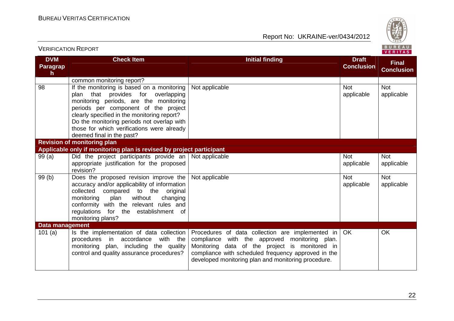

| <b>VERIFICATION REPORT</b>             |                                                                                                                                                                                                                                                                                                                                            |                                                                                                                                                                                                                                                                   |                                   | BUREAU<br><b>VERITAS</b>          |
|----------------------------------------|--------------------------------------------------------------------------------------------------------------------------------------------------------------------------------------------------------------------------------------------------------------------------------------------------------------------------------------------|-------------------------------------------------------------------------------------------------------------------------------------------------------------------------------------------------------------------------------------------------------------------|-----------------------------------|-----------------------------------|
| <b>DVM</b><br>Paragrap<br>$\mathsf{h}$ | <b>Check Item</b>                                                                                                                                                                                                                                                                                                                          | <b>Initial finding</b>                                                                                                                                                                                                                                            | <b>Draft</b><br><b>Conclusion</b> | <b>Final</b><br><b>Conclusion</b> |
|                                        | common monitoring report?                                                                                                                                                                                                                                                                                                                  |                                                                                                                                                                                                                                                                   |                                   |                                   |
| 98                                     | If the monitoring is based on a monitoring<br>plan that provides for overlapping<br>monitoring periods, are the monitoring<br>periods per component of the project<br>clearly specified in the monitoring report?<br>Do the monitoring periods not overlap with<br>those for which verifications were already<br>deemed final in the past? | Not applicable                                                                                                                                                                                                                                                    | <b>Not</b><br>applicable          | <b>Not</b><br>applicable          |
|                                        | <b>Revision of monitoring plan</b>                                                                                                                                                                                                                                                                                                         |                                                                                                                                                                                                                                                                   |                                   |                                   |
|                                        | Applicable only if monitoring plan is revised by project participant                                                                                                                                                                                                                                                                       |                                                                                                                                                                                                                                                                   |                                   |                                   |
| 99(a)                                  | Did the project participants provide an Not applicable<br>appropriate justification for the proposed<br>revision?                                                                                                                                                                                                                          |                                                                                                                                                                                                                                                                   | <b>Not</b><br>applicable          | <b>Not</b><br>applicable          |
| 99(b)                                  | Does the proposed revision improve the $ $<br>accuracy and/or applicability of information<br>collected compared to the original<br>without<br>changing<br>monitoring<br>plan<br>conformity with the relevant rules and<br>regulations for the establishment of<br>monitoring plans?                                                       | Not applicable                                                                                                                                                                                                                                                    | <b>Not</b><br>applicable          | <b>Not</b><br>applicable          |
| Data management                        |                                                                                                                                                                                                                                                                                                                                            |                                                                                                                                                                                                                                                                   |                                   |                                   |
| 101(a)                                 | Is the implementation of data collection<br>procedures in accordance<br>with the<br>monitoring plan, including the quality<br>control and quality assurance procedures?                                                                                                                                                                    | Procedures of data collection are implemented in<br>compliance with the approved monitoring plan.<br>Monitoring data of the project is monitored in<br>compliance with scheduled frequency approved in the<br>developed monitoring plan and monitoring procedure. | OK                                | <b>OK</b>                         |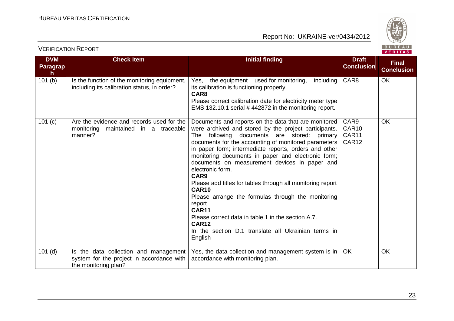

VERIFICATION REPORT

|  | FR. |  |  |  |  |  |
|--|-----|--|--|--|--|--|

| <b>DVM</b>            | <b>Check Item</b>                                                                            | <b>Initial finding</b>                                                                                                                                                                                                                                                                                                                                                                                                                                                                                                                                                                                                                                                                                                 | <b>Draft</b>                                |                                   |
|-----------------------|----------------------------------------------------------------------------------------------|------------------------------------------------------------------------------------------------------------------------------------------------------------------------------------------------------------------------------------------------------------------------------------------------------------------------------------------------------------------------------------------------------------------------------------------------------------------------------------------------------------------------------------------------------------------------------------------------------------------------------------------------------------------------------------------------------------------------|---------------------------------------------|-----------------------------------|
| <b>Paragrap</b><br>h. |                                                                                              |                                                                                                                                                                                                                                                                                                                                                                                                                                                                                                                                                                                                                                                                                                                        | <b>Conclusion</b>                           | <b>Final</b><br><b>Conclusion</b> |
| 101(b)                | Is the function of the monitoring equipment,<br>including its calibration status, in order?  | the equipment used for monitoring,<br>including<br>Yes.<br>its calibration is functioning properly.<br>CAR8<br>Please correct calibration date for electricity meter type<br>EMS 132.10.1 serial #442872 in the monitoring report.                                                                                                                                                                                                                                                                                                                                                                                                                                                                                     | CAR <sub>8</sub>                            | OK                                |
| 101 (c)               | Are the evidence and records used for the<br>monitoring maintained in a traceable<br>manner? | Documents and reports on the data that are monitored<br>were archived and stored by the project participants.<br>The following documents are stored: primary<br>documents for the accounting of monitored parameters<br>in paper form; intermediate reports, orders and other<br>monitoring documents in paper and electronic form;<br>documents on measurement devices in paper and<br>electronic form.<br>CAR9<br>Please add titles for tables through all monitoring report<br><b>CAR10</b><br>Please arrange the formulas through the monitoring<br>report<br><b>CAR11</b><br>Please correct data in table.1 in the section A.7.<br><b>CAR12</b><br>In the section D.1 translate all Ukrainian terms in<br>English | CAR9<br>CAR <sub>10</sub><br>CAR11<br>CAR12 | <b>OK</b>                         |
| $101$ (d)             | Is the data collection and management                                                        | Yes, the data collection and management system is in                                                                                                                                                                                                                                                                                                                                                                                                                                                                                                                                                                                                                                                                   | OK                                          | <b>OK</b>                         |
|                       | system for the project in accordance with<br>the monitoring plan?                            | accordance with monitoring plan.                                                                                                                                                                                                                                                                                                                                                                                                                                                                                                                                                                                                                                                                                       |                                             |                                   |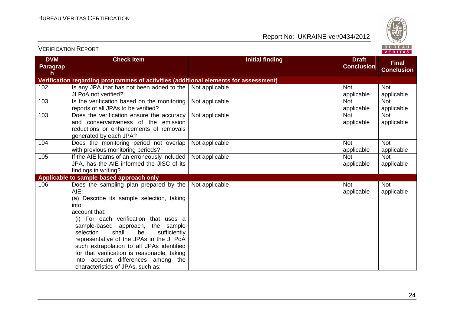

| <b>DVM</b><br>Paragrap | <b>Check Item</b>                                                                    | <b>Initial finding</b> | <b>Draft</b><br><b>Conclusion</b> | <b>Final</b>      |
|------------------------|--------------------------------------------------------------------------------------|------------------------|-----------------------------------|-------------------|
| h                      |                                                                                      |                        |                                   | <b>Conclusion</b> |
|                        | Verification regarding programmes of activities (additional elements for assessment) |                        |                                   |                   |
| 102                    | Is any JPA that has not been added to the                                            | Not applicable         | Not                               | <b>Not</b>        |
|                        | JI PoA not verified?                                                                 |                        | applicable                        | applicable        |
| 103                    | Is the verification based on the monitoring                                          | Not applicable         | <b>Not</b>                        | <b>Not</b>        |
|                        | reports of all JPAs to be verified?                                                  |                        | applicable                        | applicable        |
| 103                    | Does the verification ensure the accuracy                                            | Not applicable         | <b>Not</b>                        | <b>Not</b>        |
|                        | and conservativeness of the emission                                                 |                        | applicable                        | applicable        |
|                        | reductions or enhancements of removals                                               |                        |                                   |                   |
|                        | generated by each JPA?                                                               |                        |                                   |                   |
| 104                    | Does the monitoring period not overlap                                               | Not applicable         | <b>Not</b>                        | <b>Not</b>        |
|                        | with previous monitoring periods?                                                    |                        | applicable                        | applicable        |
| 105                    | If the AIE learns of an erroneously included                                         | Not applicable         | <b>Not</b>                        | <b>Not</b>        |
|                        | JPA, has the AIE informed the JISC of its                                            |                        | applicable                        | applicable        |
|                        | findings in writing?                                                                 |                        |                                   |                   |
|                        | Applicable to sample-based approach only                                             |                        |                                   |                   |
| 106                    | Does the sampling plan prepared by the                                               | Not applicable         | <b>Not</b>                        | <b>Not</b>        |
|                        | AIE:                                                                                 |                        | applicable                        | applicable        |
|                        | (a) Describe its sample selection, taking                                            |                        |                                   |                   |
|                        | into<br>account that:                                                                |                        |                                   |                   |
|                        |                                                                                      |                        |                                   |                   |
|                        | (i) For each verification that uses a                                                |                        |                                   |                   |
|                        | sample-based approach, the sample<br>shall<br>be<br>selection<br>sufficiently        |                        |                                   |                   |
|                        | representative of the JPAs in the JI PoA                                             |                        |                                   |                   |
|                        | such extrapolation to all JPAs identified                                            |                        |                                   |                   |
|                        | for that verification is reasonable, taking                                          |                        |                                   |                   |
|                        | into account differences among the                                                   |                        |                                   |                   |
|                        | characteristics of JPAs, such as:                                                    |                        |                                   |                   |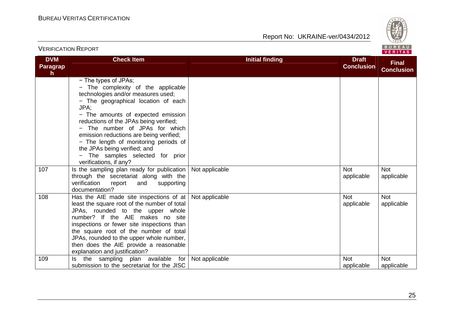VERIFICATION REPORT

Report No: UKRAINE-ver/0434/2012



#### **DVM Paragraph Check Item Initial finding Check Item Initial finding Check Item Initial finding Check Item Initial finding Check Item Initial finding Check Item Initial finding Check Item Initial finding Check Item Initial finding Check Conclusion Final Conclusion**− The types of JPAs; − The complexity of the applicable technologies and/or measures used; − The geographical location of each JPA; − The amounts of expected emission reductions of the JPAs being verified; − The number of JPAs for which emission reductions are being verified; − The length of monitoring periods of the JPAs being verified; and − The samples selected for prior verifications, if any? 107 | Is the sampling plan ready for publication through the secretariat along with the supporting verification report and documentation? 108 All Has the AIE made site inspections of at Not applicable Not not a not not not a Not Not applicable Not applicable Not applicable least the square root of the number of total JPAs, rounded to the upper whole number? If the AIE makes no site inspections or fewer site inspections than the square root of the number of total JPAs, rounded to the upper whole number, then does the AIE provide a reasonable explanation and justification? 109 Some Is the sampling plan available for Not applicable Not Not Applicable Not applicable Not applicable submission to the secretariat for the JISC applicable Not applicable

25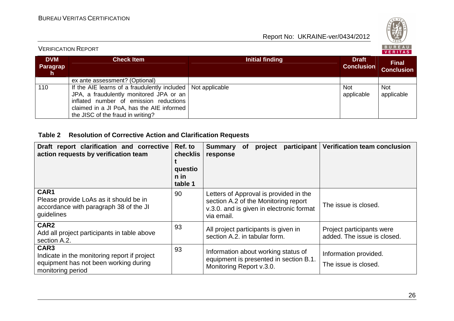VERIFICATION REPORT

Report No: UKRAINE-ver/0434/2012



|                             |                                                                                                                                                                                                                       |                        |                                   | .                                 |
|-----------------------------|-----------------------------------------------------------------------------------------------------------------------------------------------------------------------------------------------------------------------|------------------------|-----------------------------------|-----------------------------------|
| <b>DVM</b><br>Paragrap<br>h | <b>Check Item</b>                                                                                                                                                                                                     | <b>Initial finding</b> | <b>Draft</b><br><b>Conclusion</b> | <b>Final</b><br><b>Conclusion</b> |
|                             | ex ante assessment? (Optional)                                                                                                                                                                                        |                        |                                   |                                   |
| 110                         | If the AIE learns of a fraudulently included  <br>JPA, a fraudulently monitored JPA or an<br>inflated number of emission reductions<br>claimed in a JI PoA, has the AIE informed<br>the JISC of the fraud in writing? | Not applicable         | <b>Not</b><br>applicable          | <b>Not</b><br>applicable          |

#### **Table 2 Resolution of Corrective Action and Clarification Requests**

| Draft report clarification and corrective<br>action requests by verification team                                  | Ref. to<br>checklis<br>questio<br>n in<br>table 1 | participant<br><b>Summary</b><br>project<br><b>of</b><br>response                                                                        | <b>Verification team conclusion</b>                      |
|--------------------------------------------------------------------------------------------------------------------|---------------------------------------------------|------------------------------------------------------------------------------------------------------------------------------------------|----------------------------------------------------------|
| CAR1<br>Please provide LoAs as it should be in<br>accordance with paragraph 38 of the JI<br>guidelines             | 90                                                | Letters of Approval is provided in the<br>section A.2 of the Monitoring report<br>v.3.0. and is given in electronic format<br>via email. | The issue is closed.                                     |
| CAR <sub>2</sub><br>Add all project participants in table above<br>section A.2.                                    | 93                                                | All project participants is given in<br>section A.2. in tabular form.                                                                    | Project participants were<br>added. The issue is closed. |
| CAR3<br>Indicate in the monitoring report if project<br>equipment has not been working during<br>monitoring period | 93                                                | Information about working status of<br>equipment is presented in section B.1.<br>Monitoring Report v.3.0.                                | Information provided.<br>The issue is closed.            |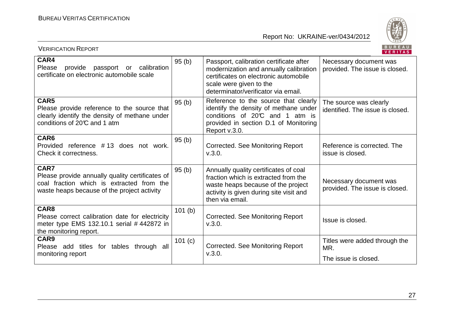

| <b>VERIFICATION REPORT</b>                                                                                                                          |         |                                                                                                                                                                                              | BUREAU<br><b>VERITAS</b>                                   |
|-----------------------------------------------------------------------------------------------------------------------------------------------------|---------|----------------------------------------------------------------------------------------------------------------------------------------------------------------------------------------------|------------------------------------------------------------|
| CAR4<br>Please<br>provide passport or calibration<br>certificate on electronic automobile scale                                                     | 95(b)   | Passport, calibration certificate after<br>modernization and annually calibration<br>certificates on electronic automobile<br>scale were given to the<br>determinator/verificator via email. | Necessary document was<br>provided. The issue is closed.   |
| CAR5<br>Please provide reference to the source that<br>clearly identify the density of methane under<br>conditions of 20°C and 1 atm                | 95(b)   | Reference to the source that clearly<br>identify the density of methane under<br>conditions of 20°C and 1 atm is<br>provided in section D.1 of Monitoring<br>Report v.3.0.                   | The source was clearly<br>identified. The issue is closed. |
| CAR6<br>Provided reference #13 does not work.<br>Check it correctness.                                                                              | 95(b)   | <b>Corrected. See Monitoring Report</b><br>V.3.0.                                                                                                                                            | Reference is corrected. The<br>issue is closed.            |
| CAR7<br>Please provide annually quality certificates of<br>coal fraction which is extracted from the<br>waste heaps because of the project activity | 95(b)   | Annually quality certificates of coal<br>fraction which is extracted from the<br>waste heaps because of the project<br>activity is given during site visit and<br>then via email.            | Necessary document was<br>provided. The issue is closed.   |
| CAR8<br>Please correct calibration date for electricity<br>meter type EMS 132.10.1 serial #442872 in<br>the monitoring report.                      | 101(b)  | Corrected. See Monitoring Report<br>V.3.0.                                                                                                                                                   | Issue is closed.                                           |
| CAR9<br>Please add titles for tables through all<br>monitoring report                                                                               | 101 (c) | Corrected. See Monitoring Report<br>V.3.0.                                                                                                                                                   | Titles were added through the<br>MR.                       |
|                                                                                                                                                     |         |                                                                                                                                                                                              | The issue is closed.                                       |